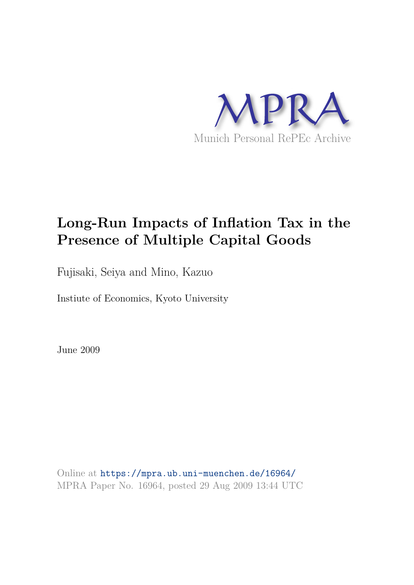

# **Long-Run Impacts of Inflation Tax in the Presence of Multiple Capital Goods**

Fujisaki, Seiya and Mino, Kazuo

Instiute of Economics, Kyoto University

June 2009

Online at https://mpra.ub.uni-muenchen.de/16964/ MPRA Paper No. 16964, posted 29 Aug 2009 13:44 UTC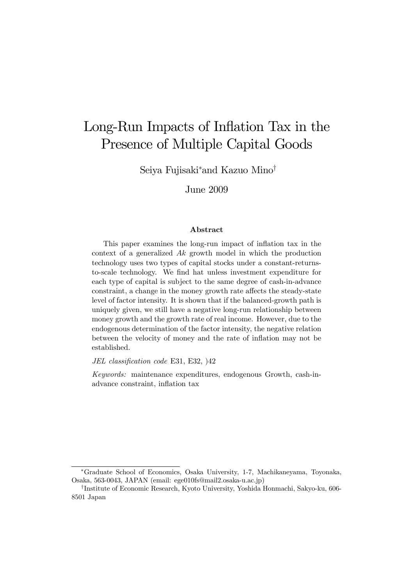## Long-Run Impacts of Inflation Tax in the Presence of Multiple Capital Goods

Seiya Fujisaki∗and Kazuo Mino†

June 2009

#### Abstract

This paper examines the long-run impact of inflation tax in the context of a generalized Ak growth model in which the production technology uses two types of capital stocks under a constant-returnsto-scale technology. We find hat unless investment expenditure for each type of capital is subject to the same degree of cash-in-advance constraint, a change in the money growth rate affects the steady-state level of factor intensity. It is shown that if the balanced-growth path is uniquely given, we still have a negative long-run relationship between money growth and the growth rate of real income. However, due to the endogenous determination of the factor intensity, the negative relation between the velocity of money and the rate of inflation may not be established.

JEL classification code E31, E32, )42

Keywords: maintenance expenditures, endogenous Growth, cash-inadvance constraint, inflation tax

<sup>∗</sup>Graduate School of Economics, Osaka University, 1-7, Machikaneyama, Toyonaka, Osaka, 563-0043, JAPAN (email: ege010fs@mail2.osaka-u.ac.jp)

<sup>†</sup> Institute of Economic Research, Kyoto University, Yoshida Honmachi, Sakyo-ku, 606- 8501 Japan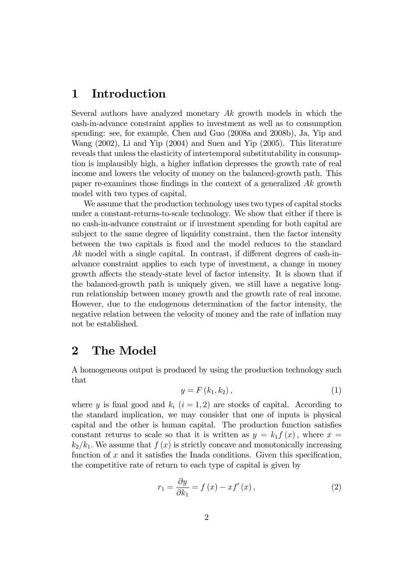#### 1 Introduction

Several authors have analyzed monetary  $Ak$  growth models in which the cash-in-advance constraint applies to investment as well as to consumption spending: see, for example, Chen and Guo (2008a and 2008b), Ja, Yip and Wang (2002), Li and Yip (2004) and Suen and Yip (2005). This literature reveals that unless the elasticity of intertemporal substitutability in consumption is implausibly high, a higher inflation depresses the growth rate of real income and lowers the velocity of money on the balanced-growth path. This paper re-examines those findings in the context of a generalized Ak growth model with two types of capital.

We assume that the production technology uses two types of capital stocks under a constant-returns-to-scale technology. We show that either if there is no cash-in-advance constraint or if investment spending for both capital are subject to the same degree of liquidity constraint, then the factor intensity between the two capitals is fixed and the model reduces to the standard Ak model with a single capital. In contrast, if different degrees of cash-inadvance constraint applies to each type of investment, a change in money growth affects the steady-state level of factor intensity. It is shown that if the balanced-growth path is uniquely given, we still have a negative longrun relationship between money growth and the growth rate of real income. However, due to the endogenous determination of the factor intensity, the negative relation between the velocity of money and the rate of inflation may not be established.

#### 2 The Model

A homogeneous output is produced by using the production technology such that

$$
y = F(k_1, k_2), \tag{1}
$$

where y is final good and  $k_i$   $(i = 1, 2)$  are stocks of capital. According to the standard implication, we may consider that one of inputs is physical capital and the other is human capital. The production function satisfies constant returns to scale so that it is written as  $y = k_1 f(x)$ , where  $x =$  $k_2/k_1$ . We assume that  $f(x)$  is strictly concave and monotonically increasing function of  $x$  and it satisfies the Inada conditions. Given this specification, the competitive rate of return to each type of capital is given by

$$
r_{1} = \frac{\partial y}{\partial k_{1}} = f(x) - xf'(x), \qquad (2)
$$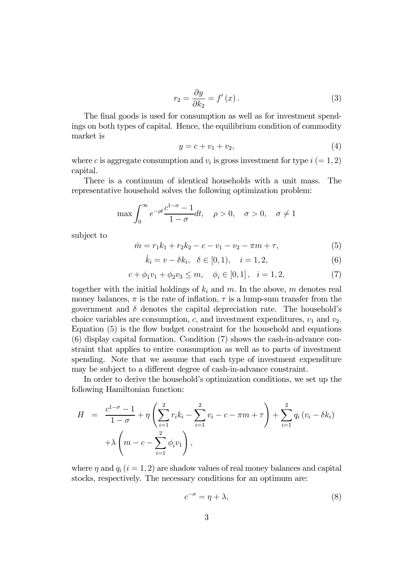$$
r_2 = \frac{\partial y}{\partial k_2} = f'(x). \tag{3}
$$

The final goods is used for consumption as well as for investment spendings on both types of capital. Hence, the equilibrium condition of commodity market is

$$
y = c + v_1 + v_2,\tag{4}
$$

where c is aggregate consumption and  $v_i$  is gross investment for type  $i (= 1, 2)$ capital.

There is a continuum of identical households with a unit mass. The representative household solves the following optimization problem:

$$
\max \int_0^\infty e^{-\rho t} \frac{c^{1-\sigma}-1}{1-\sigma} dt, \quad \rho > 0, \quad \sigma > 0, \quad \sigma \neq 1
$$

subject to

$$
\dot{m} = r_1 k_1 + r_2 k_2 - c - v_1 - v_2 - \pi m + \tau,\tag{5}
$$

$$
\dot{k}_i = v - \delta k_i, \ \ \delta \in [0, 1), \ \ i = 1, 2,
$$
\n(6)

$$
c + \phi_1 v_1 + \phi_2 v_3 \le m, \quad \phi_i \in [0, 1], \quad i = 1, 2,
$$
 (7)

together with the initial holdings of  $k_i$  and m. In the above, m denotes real money balances,  $\pi$  is the rate of inflation,  $\tau$  is a lump-sum transfer from the government and  $\delta$  denotes the capital depreciation rate. The household's choice variables are consumption, c, and investment expenditures,  $v_1$  and  $v_2$ . Equation (5) is the flow budget constraint for the household and equations (6) display capital formation. Condition (7) shows the cash-in-advance constraint that applies to entire consumption as well as to parts of investment spending. Note that we assume that each type of investment expenditure may be subject to a different degree of cash-in-advance constraint.

In order to derive the household's optimization conditions, we set up the following Hamiltonian function:

$$
H = \frac{c^{1-\sigma} - 1}{1 - \sigma} + \eta \left( \sum_{i=1}^{2} r_i k_i - \sum_{i=1}^{2} v_i - c - \pi m + \tau \right) + \sum_{i=1}^{2} q_i (v_i - \delta k_i) + \lambda \left( m - c - \sum_{i=1}^{2} \phi_i v_1 \right),
$$

where  $\eta$  and  $q_i$  (i = 1, 2) are shadow values of real money balances and capital stocks, respectively. The necessary conditions for an optimum are:

$$
c^{-\sigma} = \eta + \lambda,\tag{8}
$$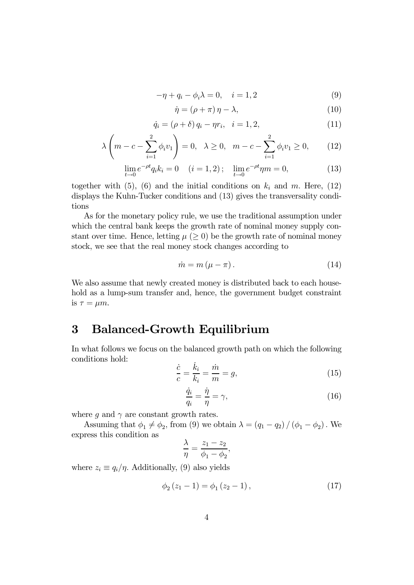$$
-\eta + q_i - \phi_i \lambda = 0, \quad i = 1, 2 \tag{9}
$$

$$
\dot{\eta} = (\rho + \pi)\,\eta - \lambda,\tag{10}
$$

$$
\dot{q}_i = (\rho + \delta) q_i - \eta r_i, \quad i = 1, 2,
$$
\n(11)

$$
\lambda \left( m - c - \sum_{i=1}^{2} \phi_i v_1 \right) = 0, \quad \lambda \ge 0, \quad m - c - \sum_{i=1}^{2} \phi_i v_1 \ge 0, \tag{12}
$$

$$
\lim_{t \to 0} e^{-\rho t} q_i k_i = 0 \quad (i = 1, 2); \quad \lim_{t \to 0} e^{-\rho t} \eta m = 0,
$$
\n(13)

together with (5), (6) and the initial conditions on  $k_i$  and m. Here, (12) displays the Kuhn-Tucker conditions and (13) gives the transversality conditions

As for the monetary policy rule, we use the traditional assumption under which the central bank keeps the growth rate of nominal money supply constant over time. Hence, letting  $\mu$  ( $\geq$  0) be the growth rate of nominal money stock, we see that the real money stock changes according to

$$
\dot{m} = m(\mu - \pi). \tag{14}
$$

We also assume that newly created money is distributed back to each household as a lump-sum transfer and, hence, the government budget constraint is  $\tau = \mu m$ .

#### 3 Balanced-Growth Equilibrium

In what follows we focus on the balanced growth path on which the following conditions hold:

$$
\frac{\dot{c}}{c} = \frac{\dot{k}_i}{k_i} = \frac{\dot{m}}{m} = g,\tag{15}
$$

$$
\frac{\dot{q}_i}{q_i} = \frac{\dot{\eta}}{\eta} = \gamma,\tag{16}
$$

where g and  $\gamma$  are constant growth rates.

Assuming that  $\phi_1 \neq \phi_2$ , from (9) we obtain  $\lambda = (q_1 - q_2) / (\phi_1 - \phi_2)$ . We express this condition as

$$
\frac{\lambda}{\eta} = \frac{z_1 - z_2}{\phi_1 - \phi_2},
$$

where  $z_i \equiv q_i/\eta$ . Additionally, (9) also yields

$$
\phi_2(z_1 - 1) = \phi_1(z_2 - 1), \tag{17}
$$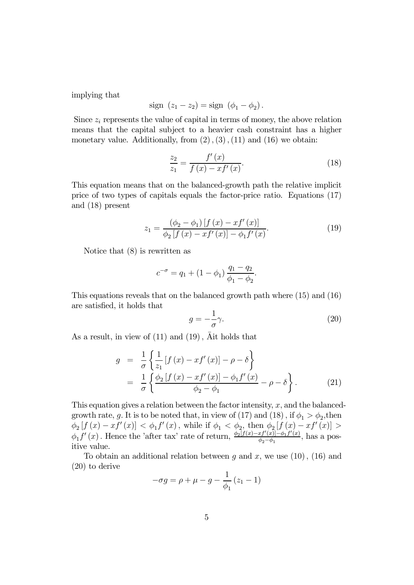implying that

sign 
$$
(z_1 - z_2) = sign (\phi_1 - \phi_2)
$$
.

Since  $z<sub>i</sub>$  represents the value of capital in terms of money, the above relation means that the capital subject to a heavier cash constraint has a higher monetary value. Additionally, from  $(2)$ ,  $(3)$ ,  $(11)$  and  $(16)$  we obtain:

$$
\frac{z_2}{z_1} = \frac{f'(x)}{f(x) - xf'(x)}.
$$
\n(18)

This equation means that on the balanced-growth path the relative implicit price of two types of capitals equals the factor-price ratio. Equations (17) and (18) present

$$
z_{1} = \frac{(\phi_{2} - \phi_{1}) [f (x) - x f' (x)]}{\phi_{2} [f (x) - x f' (x)] - \phi_{1} f' (x)}.
$$
\n(19)

Notice that (8) is rewritten as

$$
c^{-\sigma} = q_1 + (1 - \phi_1) \frac{q_1 - q_2}{\phi_1 - \phi_2}.
$$

This equations reveals that on the balanced growth path where (15) and (16) are satisfied, it holds that

$$
g = -\frac{1}{\sigma}\gamma.\tag{20}
$$

As a result, in view of  $(11)$  and  $(19)$ ,  $\overline{A}$  it holds that

$$
g = \frac{1}{\sigma} \left\{ \frac{1}{z_1} [f(x) - xf'(x)] - \rho - \delta \right\}
$$
  
= 
$$
\frac{1}{\sigma} \left\{ \frac{\phi_2 [f(x) - xf'(x)] - \phi_1 f'(x)}{\phi_2 - \phi_1} - \rho - \delta \right\}.
$$
 (21)

This equation gives a relation between the factor intensity,  $x$ , and the balancedgrowth rate, g. It is to be noted that, in view of (17) and (18), if  $\phi_1 > \phi_2$ , then  $\phi_2[f(x) - xf'(x)] < \phi_1 f'(x)$ , while if  $\phi_1 < \phi_2$ , then  $\phi_2[f(x) - xf'(x)] >$  $\phi_1 f'(x)$ . Hence the 'after tax' rate of return,  $\frac{\phi_2[f(x)-xf'(x)]-\phi_1f'(x)}{\phi_2-\phi_1}$  $\frac{xy(x)-\phi_1 f(x)}{\phi_2-\phi_1}$ , has a positive value.

To obtain an additional relation between g and x, we use  $(10)$ ,  $(16)$  and (20) to derive

$$
-\sigma g = \rho + \mu - g - \frac{1}{\phi_1} (z_1 - 1)
$$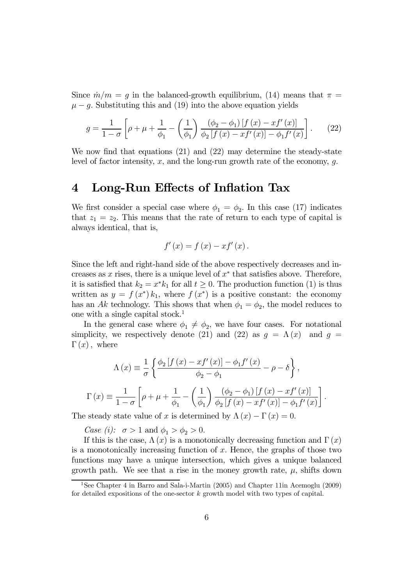Since  $m/m = g$  in the balanced-growth equilibrium, (14) means that  $\pi =$  $\mu - g$ . Substituting this and (19) into the above equation yields

$$
g = \frac{1}{1 - \sigma} \left[ \rho + \mu + \frac{1}{\phi_1} - \left( \frac{1}{\phi_1} \right) \frac{(\phi_2 - \phi_1) \left[ f(x) - x f'(x) \right]}{\phi_2 \left[ f(x) - x f'(x) \right] - \phi_1 f'(x)} \right].
$$
 (22)

We now find that equations (21) and (22) may determine the steady-state level of factor intensity, x, and the long-run growth rate of the economy,  $q$ .

#### 4 Long-Run Effects of Inflation Tax

We first consider a special case where  $\phi_1 = \phi_2$ . In this case (17) indicates that  $z_1 = z_2$ . This means that the rate of return to each type of capital is always identical, that is,

$$
f'(x) = f(x) - xf'(x).
$$

Since the left and right-hand side of the above respectively decreases and increases as x rises, there is a unique level of  $x^*$  that satisfies above. Therefore, it is satisfied that  $k_2 = x^*k_1$  for all  $t \geq 0$ . The production function (1) is thus written as  $y = f(x^*)k_1$ , where  $f(x^*)$  is a positive constant: the economy has an Ak technology. This shows that when  $\phi_1 = \phi_2$ , the model reduces to one with a single capital stock.<sup>1</sup>

In the general case where  $\phi_1 \neq \phi_2$ , we have four cases. For notational simplicity, we respectively denote (21) and (22) as  $g = \Lambda(x)$  and  $g =$  $\Gamma(x)$ , where

$$
\Lambda(x) \equiv \frac{1}{\sigma} \left\{ \frac{\phi_2 \left[ f(x) - x f'(x) \right] - \phi_1 f'(x)}{\phi_2 - \phi_1} - \rho - \delta \right\},\
$$

$$
\Gamma(x) \equiv \frac{1}{1 - \sigma} \left[ \rho + \mu + \frac{1}{\phi_1} - \left( \frac{1}{\phi_1} \right) \frac{(\phi_2 - \phi_1) \left[ f(x) - x f'(x) \right]}{\phi_2 \left[ f(x) - x f'(x) \right] - \phi_1 f'(x)} \right]
$$

.

The steady state value of x is determined by  $\Lambda(x) - \Gamma(x) = 0$ .

Case (i):  $\sigma > 1$  and  $\phi_1 > \phi_2 > 0$ .

If this is the case,  $\Lambda(x)$  is a monotonically decreasing function and  $\Gamma(x)$ is a monotonically increasing function of  $x$ . Hence, the graphs of those two functions may have a unique intersection, which gives a unique balanced growth path. We see that a rise in the money growth rate,  $\mu$ , shifts down

<sup>&</sup>lt;sup>1</sup>See Chapter 4 in Barro and Sala-i-Martin (2005) and Chapter 11in Acemoglu (2009) for detailed expositions of the one-sector  $k$  growth model with two types of capital.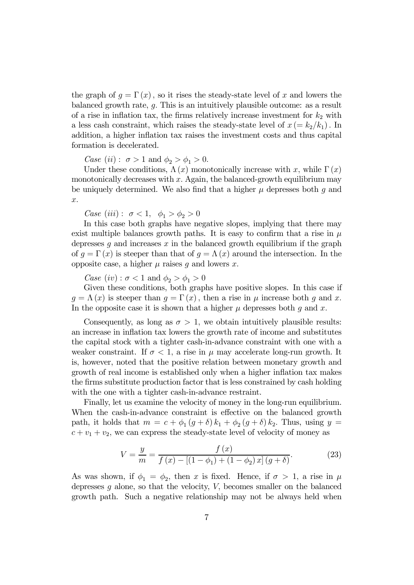the graph of  $g = \Gamma(x)$ , so it rises the steady-state level of x and lowers the balanced growth rate, g. This is an intuitively plausible outcome: as a result of a rise in inflation tax, the firms relatively increase investment for  $k_2$  with a less cash constraint, which raises the steady-state level of  $x = k_2/k_1$ . In addition, a higher inflation tax raises the investment costs and thus capital formation is decelerated.

*Case* (*ii*):  $\sigma > 1$  and  $\phi_2 > \phi_1 > 0$ .

Under these conditions,  $\Lambda(x)$  monotonically increase with x, while  $\Gamma(x)$ monotonically decreases with  $x$ . Again, the balanced-growth equilibrium may be uniquely determined. We also find that a higher  $\mu$  depresses both g and x.

Case (iii) :  $\sigma < 1, \phi_1 > \phi_2 > 0$ 

In this case both graphs have negative slopes, implying that there may exist multiple balances growth paths. It is easy to confirm that a rise in  $\mu$ depresses q and increases  $x$  in the balanced growth equilibrium if the graph of  $g = \Gamma(x)$  is steeper than that of  $g = \Lambda(x)$  around the intersection. In the opposite case, a higher  $\mu$  raises q and lowers x.

Case  $(iv): \sigma < 1$  and  $\phi_2 > \phi_1 > 0$ 

Given these conditions, both graphs have positive slopes. In this case if  $q = \Lambda(x)$  is steeper than  $q = \Gamma(x)$ , then a rise in  $\mu$  increase both q and x. In the opposite case it is shown that a higher  $\mu$  depresses both q and x.

Consequently, as long as  $\sigma > 1$ , we obtain intuitively plausible results: an increase in inflation tax lowers the growth rate of income and substitutes the capital stock with a tighter cash-in-advance constraint with one with a weaker constraint. If  $\sigma < 1$ , a rise in  $\mu$  may accelerate long-run growth. It is, however, noted that the positive relation between monetary growth and growth of real income is established only when a higher inflation tax makes the firms substitute production factor that is less constrained by cash holding with the one with a tighter cash-in-advance restraint.

Finally, let us examine the velocity of money in the long-run equilibrium. When the cash-in-advance constraint is effective on the balanced growth path, it holds that  $m = c + \phi_1(g + \delta) k_1 + \phi_2(g + \delta) k_2$ . Thus, using  $y =$  $c + v_1 + v_2$ , we can express the steady-state level of velocity of money as

$$
V = \frac{y}{m} = \frac{f(x)}{f(x) - [(1 - \phi_1) + (1 - \phi_2)x](g + \delta)}.
$$
 (23)

As was shown, if  $\phi_1 = \phi_2$ , then x is fixed. Hence, if  $\sigma > 1$ , a rise in  $\mu$ depresses  $g$  alone, so that the velocity,  $V$ , becomes smaller on the balanced growth path. Such a negative relationship may not be always held when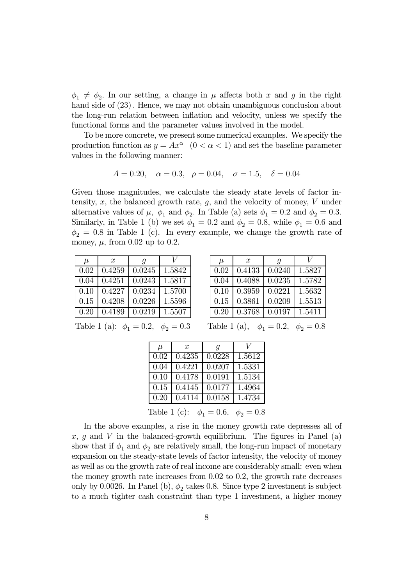$\phi_1 \neq \phi_2$ . In our setting, a change in  $\mu$  affects both x and g in the right hand side of  $(23)$ . Hence, we may not obtain unambiguous conclusion about the long-run relation between inflation and velocity, unless we specify the functional forms and the parameter values involved in the model.

To be more concrete, we present some numerical examples. We specify the production function as  $y = Ax^{\alpha}$   $(0 < \alpha < 1)$  and set the baseline parameter values in the following manner:

$$
A = 0.20
$$
,  $\alpha = 0.3$ ,  $\rho = 0.04$ ,  $\sigma = 1.5$ ,  $\delta = 0.04$ 

Given those magnitudes, we calculate the steady state levels of factor intensity,  $x$ , the balanced growth rate,  $g$ , and the velocity of money,  $V$  under alternative values of  $\mu$ ,  $\phi_1$  and  $\phi_2$ . In Table (a) sets  $\phi_1 = 0.2$  and  $\phi_2 = 0.3$ . Similarly, in Table 1 (b) we set  $\phi_1 = 0.2$  and  $\phi_2 = 0.8$ , while  $\phi_1 = 0.6$  and  $\phi_2 = 0.8$  in Table 1 (c). In every example, we change the growth rate of money,  $\mu$ , from 0.02 up to 0.2.

| $\mu$ | $\boldsymbol{x}$ | $\boldsymbol{q}$ |        |
|-------|------------------|------------------|--------|
| 0.02  | 0.4259           | 0.0245           | 1.5842 |
| 0.04  | 0.4251           | 0.0243           | 1.5817 |
| 0.10  | 0.4227           | 0.0234           | 1.5700 |
| 0.15  | 0.4208           | 0.0226           | 1.5596 |
| 0.20  | 0.4189           | 0.0219           | 1.5507 |

| $\mu$ | $\mathcal{X}$ | g      |        |
|-------|---------------|--------|--------|
| 0.02  | 0.4133        | 0.0240 | 1.5827 |
| 0.04  | 0.4088        | 0.0235 | 1.5782 |
| 0.10  | 0.3959        | 0.0221 | 1.5632 |
| 0.15  | 0.3861        | 0.0209 | 1.5513 |
| 0.20  | 0.3768        | 0.0197 | 1.5411 |

Table 1 (a):  $\phi_1 = 0.2$ ,  $\phi_2 = 0.3$  Table 1 (a),  $\phi_1 = 0.2$ ,  $\phi_2 = 0.8$ 

| $\mu$ | $\mathcal{T}$ | q      |        |
|-------|---------------|--------|--------|
| 0.02  | 0.4235        | 0.0228 | 1.5612 |
| 0.04  | 0.4221        | 0.0207 | 1.5331 |
| 0.10  | 0.4178        | 0.0191 | 1.5134 |
| 0.15  | 0.4145        | 0.0177 | 1.4964 |
| 0.20  | 0.4114        | 0.0158 | 1.4734 |
|       |               |        |        |

Table 1 (c):  $\phi_1 = 0.6, \phi_2 = 0.8$ 

In the above examples, a rise in the money growth rate depresses all of  $x, g$  and V in the balanced-growth equilibrium. The figures in Panel (a) show that if  $\phi_1$  and  $\phi_2$  are relatively small, the long-run impact of monetary expansion on the steady-state levels of factor intensity, the velocity of money as well as on the growth rate of real income are considerably small: even when the money growth rate increases from 0.02 to 0.2, the growth rate decreases only by 0.0026. In Panel (b),  $\phi_2$  takes 0.8. Since type 2 investment is subject to a much tighter cash constraint than type 1 investment, a higher money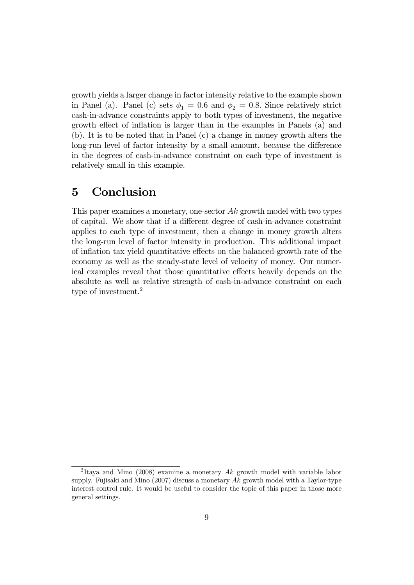growth yields a larger change in factor intensity relative to the example shown in Panel (a). Panel (c) sets  $\phi_1 = 0.6$  and  $\phi_2 = 0.8$ . Since relatively strict cash-in-advance constraints apply to both types of investment, the negative growth effect of inflation is larger than in the examples in Panels (a) and (b). It is to be noted that in Panel (c) a change in money growth alters the long-run level of factor intensity by a small amount, because the difference in the degrees of cash-in-advance constraint on each type of investment is relatively small in this example.

### 5 Conclusion

This paper examines a monetary, one-sector Ak growth model with two types of capital. We show that if a different degree of cash-in-advance constraint applies to each type of investment, then a change in money growth alters the long-run level of factor intensity in production. This additional impact of inflation tax yield quantitative effects on the balanced-growth rate of the economy as well as the steady-state level of velocity of money. Our numerical examples reveal that those quantitative effects heavily depends on the absolute as well as relative strength of cash-in-advance constraint on each type of investment.<sup>2</sup>

<sup>&</sup>lt;sup>2</sup>Itaya and Mino (2008) examine a monetary  $Ak$  growth model with variable labor supply. Fujisaki and Mino  $(2007)$  discuss a monetary  $Ak$  growth model with a Taylor-type interest control rule. It would be useful to consider the topic of this paper in those more general settings.